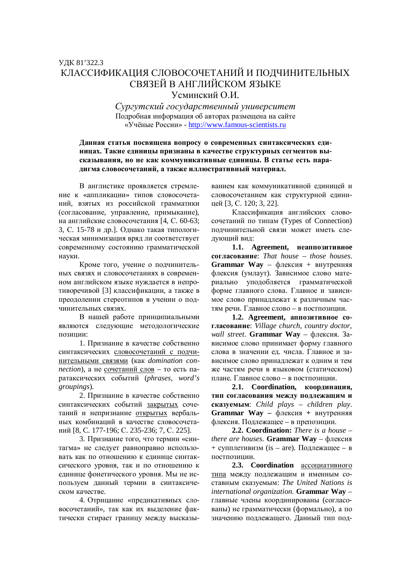## ɍȾɄ 81'322.3 КЛАССИФИКАНИЯ СЛОВОСОЧЕТАНИЙ И ПОЛЧИНИТЕЛЬНЫХ СВЯЗЕЙ В АНГЛИЙСКОМ ЯЗЫКЕ Усминский О И.

*ɋɭɪɝɭɬɫɤɢɣɝɨɫɭɞɚɪɫɬɜɟɧɧɵɣɭɧɢɜɟɪɫɢɬɟɬ* Подробная информация об авторах размещена на сайте ©ɍɱɺɧɵɟɊɨɫɫɢɢ» - http://www.famous-scientists.ru

## Данная статья посвящена вопросу о современных синтаксических еди**ницах. Такие единицы признаны в качестве структурных сегментов вы**сказывания, но не как коммуникативные единицы. В статье есть парадигма словосочетаний, а также иллюстративный материал.

В англистике проявляется стремление к «аппликации» типов словосочетаний, взятых из российской грамматики (согласование, управление, примыкание), на английские словосочетания [4, С. 60-63; 3, С. 15-78 и др.]. Однако такая типологическая минимизация вряд ли соответствует современному состоянию грамматической на уки.

Кроме того, учение о подчинительных связях и словосочетаниях в современном английском языке нуждается в непротиворечивой [3] классификации, а также в преодолении стереотипов в учении о подчинительных связях.

В нашей работе принципиальными являются следующие методологические позиции:

1. Признание в качестве собственно синтаксических словосочетаний с подчинительными связями (как *domination connection*), а не сочетаний слов – то есть паратаксических событий (phrases, word's *groupings*).

2. Признание в качестве собственно синтаксических событий закрытых сочетаний и непризнание открытых вербальных комбинаций в качестве словосочетаний [8, С. 177-196; С. 235-236; 7, С. 225].

3. Признание того, что термин «синтагма» не следует равноправно использовать как по отношению к единице синтаксического уровня, так и по отношению к единице фонетического уровня. Мы не используем данный термин в синтаксическом качестве.

4. Отрицание «предикативных словосочетаний», так как их выделение фактически стирает границу между высказыванием как коммуникативной единицей и словосочетанием как структурной единицей [3, С. 120; 3, 22].

Классификация английских словосочетаний по типам (Types of Connection) подчинительной связи может иметь следующий вид:

**1.1. Agreement, неаппозитивное согласование**: *That house – those houses*. Grammar Way – флексия + внутренняя флексия (умлаут). Зависимое слово материально уподобляется грамматической форме главного слова. Главное и зависимое слово принадлежат к различным частям речи. Главное слово – в постпозиции.

1.2. Agreement, аппозитивное согласование: Village church, country doctor, *wall street*. **Grammar Way** – флексия. Зависимое слово принимает форму главного слова в значении ед. числа. Главное и зависимое слово приналлежат к одним и тем же частям речи в языковом (статическом) плане. Главное слово – в постпозиции.

**2.1.** Coordination, координация, тип согласования между подлежащим и **сказуемым:** *Child plays – children play.* Grammar Way - флексия + внутренняя флексия. Подлежащее – в препозиции.

**2.2. Coordination:** *There is a house – there are houses*. **Grammar Way** – флексия + супплетивизм (is – are). Подлежащее – в постпозиции.

**2.3. Coordination** ассоциативного типа между подлежащим и именным составным сказуемым: The United Nations is *international organization*. **Grammar Way** – главные члены координированы (согласованы) не грамматически (формально), а по значению подлежащего. Данный тип под-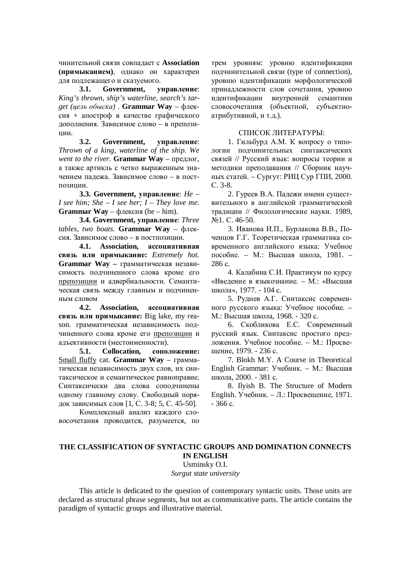чинительной связи совпадает с Association **(примыканием)**, однако он характерен для подлежащего и сказуемого.

3.1. Government, управление: *King's thrown, ship's waterline, search's target (иель обыска)* . **Grammar Way** – флексия + апостроф в качестве графического дополнения. Зависимое слово – в препозиции.

**3.2. Government, управление:** *Thrown of a king, waterline of the ship. We went to the river*. **Grammar Way** – πρεμπος, а также артикль с четко выраженным значением падежа. Зависимое слово – в постпозиции.

3.3. Government, управление: *Не – I see him; She – I see her; I – They love me*. **Grammar Way** – флексия (he – him).

3.4. Government, управление: Three *tables, two boats.* Grammar Way - φπεκсия. Зависимое слово – в постпозиции.

4.1. Association, ассоциативная **связь или примыкание:** *Extremely hot.* Grammar Way - грамматическая независимость подчиненного слова кроме его препозиции и адвербиальности. Семантическая связь между главным и подчиненным словом

4.2. Association, ассоциативная **связь или примыкание:** Big lake, my reason. грамматическая независимость подчиненного слова кроме его препозиции и адъективности (местоименности).

**5.1.** Collocation, соположение: Small fluffy cat. Grammar Way - грамматическая независимость двух слов, их синтаксическое и семантическое равноправие. Синтаксически два слова соподчинены одному главному слову. Свободный порядок зависимых слов [1, С. 3-8; 5, С. 45-50].

Комплексный анализ каждого словосочетания проводится, разумеется, по трем уровням: уровню идентификации подчинительной связи (type of connection), уровню идентификации морфологической приналлежности слов сочетания, уровню идентификации внутренней семантики словосочетания (объектной, субъектноатрибутивной, и т.д.).

## СПИСОК ЛИТЕРАТУРЫ:

1. Гильбурд А.М. К вопросу о типологии подчинительных синтаксических связей // Русский язык: вопросы теории и методики преподавания // Сборник научных статей. – Сургут: РИЦ Сур ГПИ, 2000. ɋ. 3-8.

2. Гуреев В.А. Падежи имени существительного в английской грамматической традиции // Филологические науки. 1989, No<sub>o</sub>1. C. 46-50.

3. Иванова И.П., Бурлакова В.В., Поченцов Г.Г. Теоретическая грамматика современного английского языка: Учебное пособие. – М.: Высшая школа, 1981. –  $286 c.$ 

4. Калабина С.И. Практикум по курсу «Ввеление в языкознание. – М.: «Высшая школа», 1977. - 104 с.

5. Руднев А.Г. Синтаксис современного русского языка: Учебное пособие. – М.: Высшая школа, 1968. - 320 с.

6. Скобликова Е.С. Современный русский язык. Синтаксис простого предложения. Учебное пособие. – М.: Просвешение, 1979. - 236 с.

7. Blokh M.Y. A Course in Theoretical English Grammar: Учебник. - М.: Высшая школа, 2000. - 381 с.

8. Ilyish B. The Structure of Modern English. Учебник. – Л.: Просвещение, 1971.  $-366$  c.

## **THE CLASSIFICATION OF SYNTACTIC GROUPS AND DOMINATION CONNECTS IN ENGLISH**

Usminsky O.I. *Surgut state university* 

This article is dedicated to the question of contemporary syntactic units. Those units are declared as structural phrase segments, but not as communicative parts. The article contains the paradigm of syntactic groups and illustrative material.